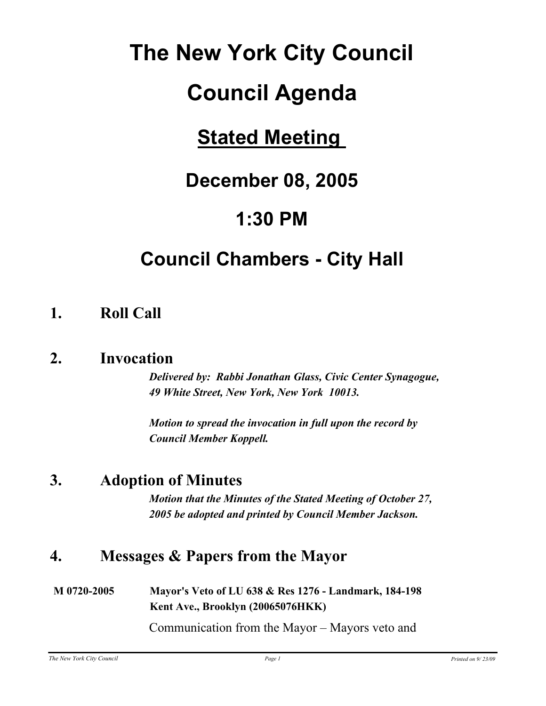# **The New York City Council**

## **Council Agenda**

## **Stated Meeting**

## **December 08, 2005**

## **1:30 PM**

## **Council Chambers - City Hall**

## **1. Roll Call**

## **2. Invocation**

*Delivered by: Rabbi Jonathan Glass, Civic Center Synagogue, 49 White Street, New York, New York 10013.*

*Motion to spread the invocation in full upon the record by Council Member Koppell.*

## **3. Adoption of Minutes**

*Motion that the Minutes of the Stated Meeting of October 27, 2005 be adopted and printed by Council Member Jackson.*

## **4. Messages & Papers from the Mayor**

#### **M 0720-2005 Mayor's Veto of LU 638 & Res 1276 - Landmark, 184-198 Kent Ave., Brooklyn (20065076HKK)**

Communication from the Mayor – Mayors veto and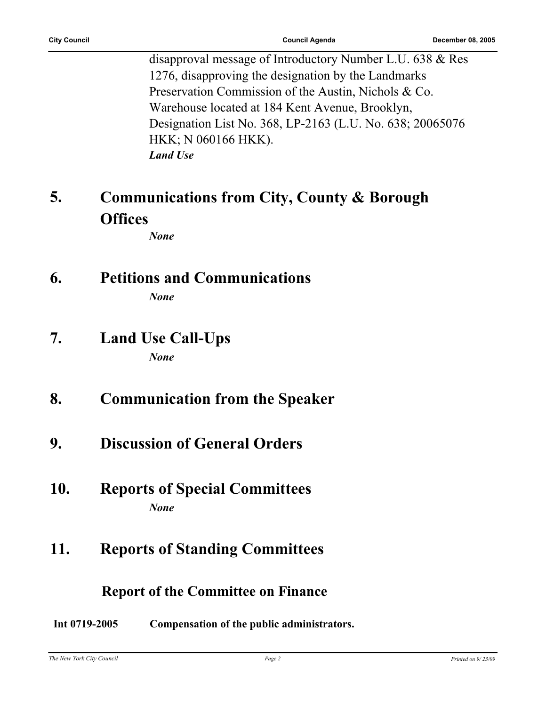| <b>City Council</b> |  |
|---------------------|--|
|---------------------|--|

disapproval message of Introductory Number L.U. 638 & Res 1276, disapproving the designation by the Landmarks Preservation Commission of the Austin, Nichols & Co. Warehouse located at 184 Kent Avenue, Brooklyn, Designation List No. 368, LP-2163 (L.U. No. 638; 20065076 HKK; N 060166 HKK). *Land Use*

#### **Communications from City, County & Borough Offices 5.**

*None*

## **6. Petitions and Communications**

*None*

### **7. Land Use Call-Ups** *None*

## **8. Communication from the Speaker**

**9. Discussion of General Orders**

## **10. Reports of Special Committees** *None*

## **11. Reports of Standing Committees**

### **Report of the Committee on Finance**

#### **Int 0719-2005 Compensation of the public administrators.**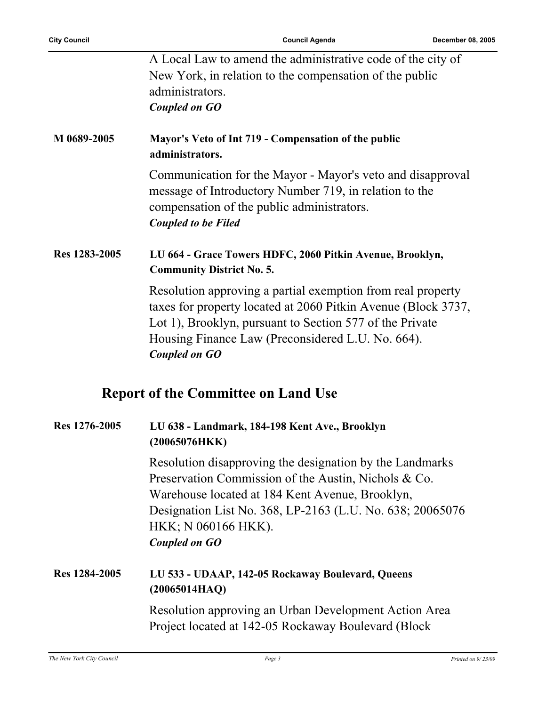Ĩ.

|               | A Local Law to amend the administrative code of the city of<br>New York, in relation to the compensation of the public<br>administrators.<br><b>Coupled on GO</b>                                                                                                               |
|---------------|---------------------------------------------------------------------------------------------------------------------------------------------------------------------------------------------------------------------------------------------------------------------------------|
| M 0689-2005   | Mayor's Veto of Int 719 - Compensation of the public<br>administrators.                                                                                                                                                                                                         |
|               | Communication for the Mayor - Mayor's veto and disapproval<br>message of Introductory Number 719, in relation to the<br>compensation of the public administrators.<br><b>Coupled to be Filed</b>                                                                                |
| Res 1283-2005 | LU 664 - Grace Towers HDFC, 2060 Pitkin Avenue, Brooklyn,<br><b>Community District No. 5.</b>                                                                                                                                                                                   |
|               | Resolution approving a partial exemption from real property<br>taxes for property located at 2060 Pitkin Avenue (Block 3737,<br>Lot 1), Brooklyn, pursuant to Section 577 of the Private<br>Housing Finance Law (Preconsidered L.U. No. 664).<br><b>Coupled on GO</b>           |
|               | <b>Report of the Committee on Land Use</b>                                                                                                                                                                                                                                      |
| Res 1276-2005 | LU 638 - Landmark, 184-198 Kent Ave., Brooklyn<br>(20065076HKK)                                                                                                                                                                                                                 |
|               | Resolution disapproving the designation by the Landmarks<br>Preservation Commission of the Austin, Nichols & Co.<br>Warehouse located at 184 Kent Avenue, Brooklyn,<br>Designation List No. 368, LP-2163 (L.U. No. 638; 20065076<br>HKK; N 060166 HKK).<br><b>Coupled on GO</b> |
| Res 1284-2005 | LU 533 - UDAAP, 142-05 Rockaway Boulevard, Queens<br>(20065014HAQ)                                                                                                                                                                                                              |
|               | Resolution approving an Urban Development Action Area<br>Project located at 142-05 Rockaway Boulevard (Block                                                                                                                                                                    |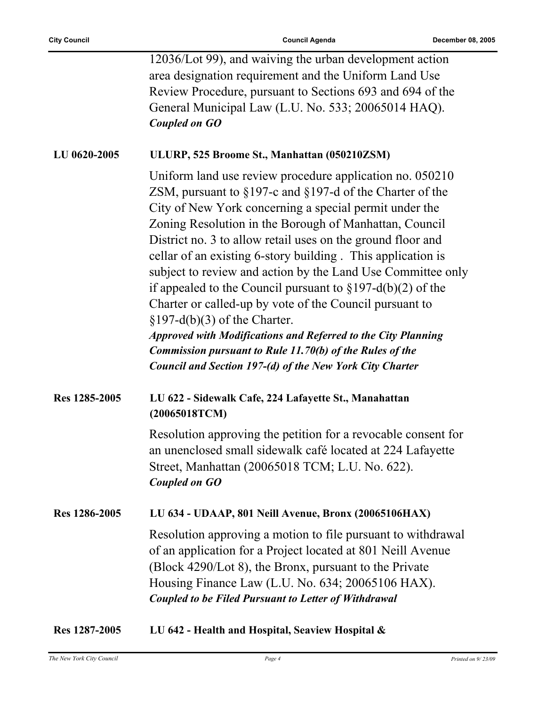|               | 12036/Lot 99), and waiving the urban development action<br>area designation requirement and the Uniform Land Use<br>Review Procedure, pursuant to Sections 693 and 694 of the<br>General Municipal Law (L.U. No. 533; 20065014 HAQ).<br><b>Coupled on GO</b>                                                                                                                                                                                                                                                                                                                                                                                                                                                                                                                                                                 |
|---------------|------------------------------------------------------------------------------------------------------------------------------------------------------------------------------------------------------------------------------------------------------------------------------------------------------------------------------------------------------------------------------------------------------------------------------------------------------------------------------------------------------------------------------------------------------------------------------------------------------------------------------------------------------------------------------------------------------------------------------------------------------------------------------------------------------------------------------|
| LU 0620-2005  | ULURP, 525 Broome St., Manhattan (050210ZSM)                                                                                                                                                                                                                                                                                                                                                                                                                                                                                                                                                                                                                                                                                                                                                                                 |
|               | Uniform land use review procedure application no. 050210<br>ZSM, pursuant to $\S197$ -c and $\S197$ -d of the Charter of the<br>City of New York concerning a special permit under the<br>Zoning Resolution in the Borough of Manhattan, Council<br>District no. 3 to allow retail uses on the ground floor and<br>cellar of an existing 6-story building. This application is<br>subject to review and action by the Land Use Committee only<br>if appealed to the Council pursuant to $\S 197-d(b)(2)$ of the<br>Charter or called-up by vote of the Council pursuant to<br>$\S 197-d(b)(3)$ of the Charter.<br><b>Approved with Modifications and Referred to the City Planning</b><br><b>Commission pursuant to Rule 11.70(b) of the Rules of the</b><br><b>Council and Section 197-(d) of the New York City Charter</b> |
| Res 1285-2005 | LU 622 - Sidewalk Cafe, 224 Lafayette St., Manahattan<br>(20065018TCM)                                                                                                                                                                                                                                                                                                                                                                                                                                                                                                                                                                                                                                                                                                                                                       |
|               | Resolution approving the petition for a revocable consent for<br>an unenclosed small sidewalk café located at 224 Lafayette<br>Street, Manhattan (20065018 TCM; L.U. No. 622).<br><b>Coupled on GO</b>                                                                                                                                                                                                                                                                                                                                                                                                                                                                                                                                                                                                                       |
| Res 1286-2005 | LU 634 - UDAAP, 801 Neill Avenue, Bronx (20065106HAX)                                                                                                                                                                                                                                                                                                                                                                                                                                                                                                                                                                                                                                                                                                                                                                        |
|               | Resolution approving a motion to file pursuant to withdrawal<br>of an application for a Project located at 801 Neill Avenue<br>(Block 4290/Lot 8), the Bronx, pursuant to the Private<br>Housing Finance Law (L.U. No. 634; 20065106 HAX).<br><b>Coupled to be Filed Pursuant to Letter of Withdrawal</b>                                                                                                                                                                                                                                                                                                                                                                                                                                                                                                                    |
|               |                                                                                                                                                                                                                                                                                                                                                                                                                                                                                                                                                                                                                                                                                                                                                                                                                              |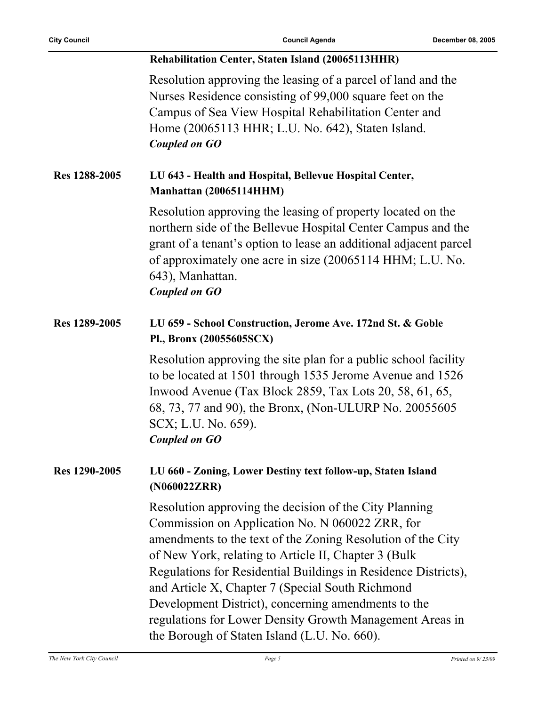|               | Rehabilitation Center, Staten Island (20065113HHR)                                                                                                                                                                                                                                                                                                                                                                                                                                                                        |
|---------------|---------------------------------------------------------------------------------------------------------------------------------------------------------------------------------------------------------------------------------------------------------------------------------------------------------------------------------------------------------------------------------------------------------------------------------------------------------------------------------------------------------------------------|
|               | Resolution approving the leasing of a parcel of land and the<br>Nurses Residence consisting of 99,000 square feet on the<br>Campus of Sea View Hospital Rehabilitation Center and<br>Home (20065113 HHR; L.U. No. 642), Staten Island.<br><b>Coupled on GO</b>                                                                                                                                                                                                                                                            |
| Res 1288-2005 | LU 643 - Health and Hospital, Bellevue Hospital Center,<br>Manhattan (20065114HHM)                                                                                                                                                                                                                                                                                                                                                                                                                                        |
|               | Resolution approving the leasing of property located on the<br>northern side of the Bellevue Hospital Center Campus and the<br>grant of a tenant's option to lease an additional adjacent parcel<br>of approximately one acre in size (20065114 HHM; L.U. No.<br>643), Manhattan.<br><b>Coupled on GO</b>                                                                                                                                                                                                                 |
| Res 1289-2005 | LU 659 - School Construction, Jerome Ave. 172nd St. & Goble<br>Pl., Bronx (20055605SCX)                                                                                                                                                                                                                                                                                                                                                                                                                                   |
|               | Resolution approving the site plan for a public school facility<br>to be located at 1501 through 1535 Jerome Avenue and 1526<br>Inwood Avenue (Tax Block 2859, Tax Lots 20, 58, 61, 65,<br>68, 73, 77 and 90), the Bronx, (Non-ULURP No. 20055605<br>SCX; L.U. No. 659).<br><b>Coupled on GO</b>                                                                                                                                                                                                                          |
| Res 1290-2005 | LU 660 - Zoning, Lower Destiny text follow-up, Staten Island<br>(N060022ZRR)                                                                                                                                                                                                                                                                                                                                                                                                                                              |
|               | Resolution approving the decision of the City Planning<br>Commission on Application No. N 060022 ZRR, for<br>amendments to the text of the Zoning Resolution of the City<br>of New York, relating to Article II, Chapter 3 (Bulk<br>Regulations for Residential Buildings in Residence Districts),<br>and Article X, Chapter 7 (Special South Richmond<br>Development District), concerning amendments to the<br>regulations for Lower Density Growth Management Areas in<br>the Borough of Staten Island (L.U. No. 660). |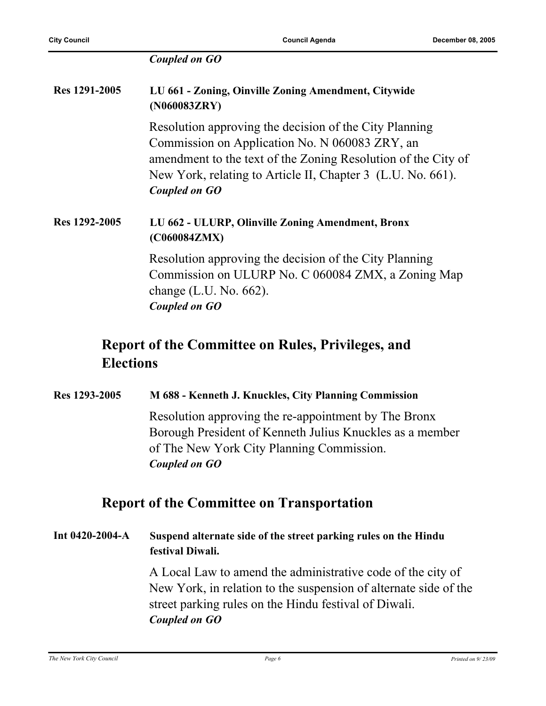| <b>Coupled on GO</b> |  |  |  |
|----------------------|--|--|--|
|----------------------|--|--|--|

| Res 1291-2005 | LU 661 - Zoning, Oinville Zoning Amendment, Citywide<br>(N060083ZRY)                                                                                                                                                                                      |
|---------------|-----------------------------------------------------------------------------------------------------------------------------------------------------------------------------------------------------------------------------------------------------------|
|               | Resolution approving the decision of the City Planning<br>Commission on Application No. N 060083 ZRY, an<br>amendment to the text of the Zoning Resolution of the City of<br>New York, relating to Article II, Chapter 3 (L.U. No. 661).<br>Coupled on GO |
| Res 1292-2005 | LU 662 - ULURP, Olinville Zoning Amendment, Bronx<br>(C060084ZMX)                                                                                                                                                                                         |
|               | Resolution approving the decision of the City Planning<br>Commission on ULURP No. C 060084 ZMX, a Zoning Map<br>change $(L.U. No. 662)$ .<br>Coupled on GO                                                                                                |
|               | <b>Report of the Committee on Rules, Privileges, and</b>                                                                                                                                                                                                  |

#### **Elections**

**Res 1293-2005 M 688 - Kenneth J. Knuckles, City Planning Commission** Resolution approving the re-appointment by The Bronx

Borough President of Kenneth Julius Knuckles as a member of The New York City Planning Commission. *Coupled on GO*

#### **Report of the Committee on Transportation**

**Int 0420-2004-A Suspend alternate side of the street parking rules on the Hindu festival Diwali.**

> A Local Law to amend the administrative code of the city of New York, in relation to the suspension of alternate side of the street parking rules on the Hindu festival of Diwali. *Coupled on GO*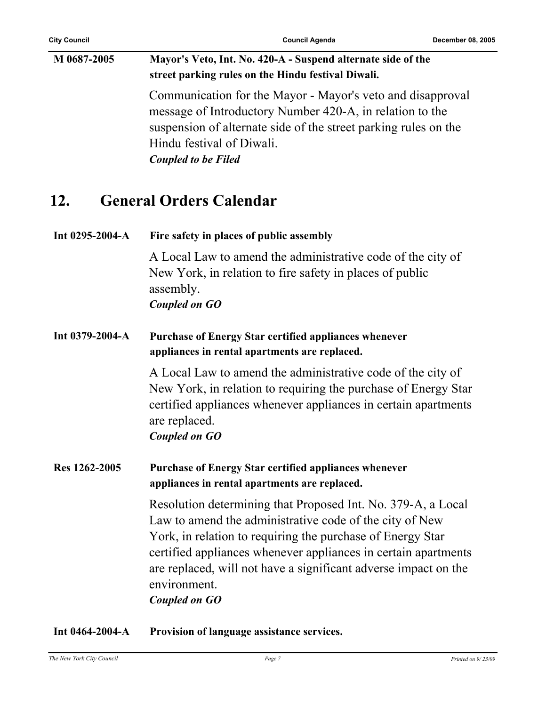## **M 0687-2005 Mayor's Veto, Int. No. 420-A - Suspend alternate side of the street parking rules on the Hindu festival Diwali.** Communication for the Mayor - Mayor's veto and disapproval message of Introductory Number 420-A, in relation to the

suspension of alternate side of the street parking rules on the Hindu festival of Diwali. *Coupled to be Filed*

## **12. General Orders Calendar**

| Int 0295-2004-A | Fire safety in places of public assembly                                                                                                                                                                                                                                                                                                                           |
|-----------------|--------------------------------------------------------------------------------------------------------------------------------------------------------------------------------------------------------------------------------------------------------------------------------------------------------------------------------------------------------------------|
|                 | A Local Law to amend the administrative code of the city of<br>New York, in relation to fire safety in places of public<br>assembly.<br><b>Coupled on GO</b>                                                                                                                                                                                                       |
| Int 0379-2004-A | <b>Purchase of Energy Star certified appliances whenever</b><br>appliances in rental apartments are replaced.                                                                                                                                                                                                                                                      |
|                 | A Local Law to amend the administrative code of the city of<br>New York, in relation to requiring the purchase of Energy Star<br>certified appliances whenever appliances in certain apartments<br>are replaced.<br><b>Coupled on GO</b>                                                                                                                           |
| Res 1262-2005   | <b>Purchase of Energy Star certified appliances whenever</b><br>appliances in rental apartments are replaced.                                                                                                                                                                                                                                                      |
|                 | Resolution determining that Proposed Int. No. 379-A, a Local<br>Law to amend the administrative code of the city of New<br>York, in relation to requiring the purchase of Energy Star<br>certified appliances whenever appliances in certain apartments<br>are replaced, will not have a significant adverse impact on the<br>environment.<br><b>Coupled on GO</b> |

**Int 0464-2004-A Provision of language assistance services.**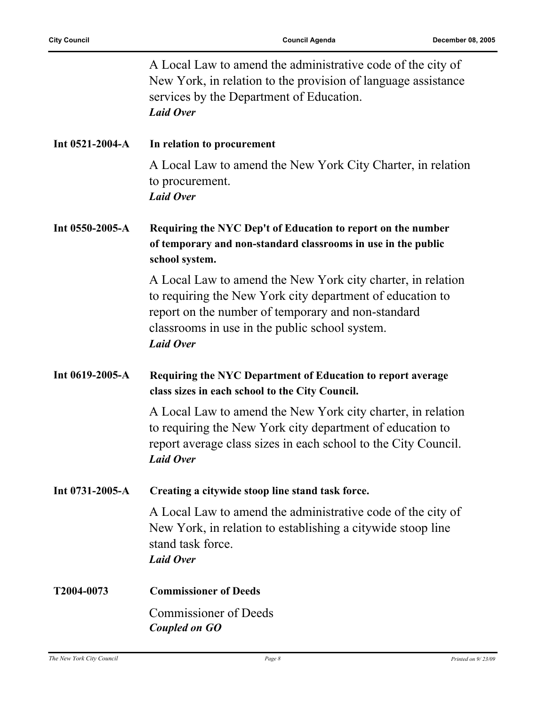|                       | A Local Law to amend the administrative code of the city of<br>New York, in relation to the provision of language assistance<br>services by the Department of Education.<br><b>Laid Over</b>                                                         |
|-----------------------|------------------------------------------------------------------------------------------------------------------------------------------------------------------------------------------------------------------------------------------------------|
| Int $0521-2004-A$     | In relation to procurement                                                                                                                                                                                                                           |
|                       | A Local Law to amend the New York City Charter, in relation<br>to procurement.<br><b>Laid Over</b>                                                                                                                                                   |
| Int 0550-2005-A       | Requiring the NYC Dep't of Education to report on the number<br>of temporary and non-standard classrooms in use in the public<br>school system.                                                                                                      |
|                       | A Local Law to amend the New York city charter, in relation<br>to requiring the New York city department of education to<br>report on the number of temporary and non-standard<br>classrooms in use in the public school system.<br><b>Laid Over</b> |
| Int 0619-2005-A       | Requiring the NYC Department of Education to report average<br>class sizes in each school to the City Council.                                                                                                                                       |
|                       | A Local Law to amend the New York city charter, in relation<br>to requiring the New York city department of education to<br>report average class sizes in each school to the City Council.<br><b>Laid Over</b>                                       |
| Int $0731 - 2005 - A$ | Creating a citywide stoop line stand task force.                                                                                                                                                                                                     |
|                       | A Local Law to amend the administrative code of the city of<br>New York, in relation to establishing a citywide stoop line<br>stand task force.<br><b>Laid Over</b>                                                                                  |
| T2004-0073            | <b>Commissioner of Deeds</b>                                                                                                                                                                                                                         |
|                       | <b>Commissioner of Deeds</b><br><b>Coupled on GO</b>                                                                                                                                                                                                 |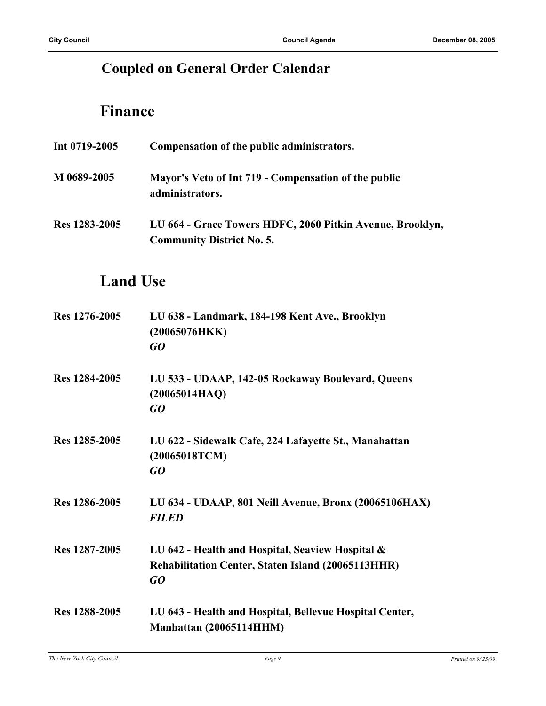## **Coupled on General Order Calendar**

## **Finance**

| Int $0719 - 2005$ | Compensation of the public administrators.                                                    |
|-------------------|-----------------------------------------------------------------------------------------------|
| M 0689-2005       | Mayor's Veto of Int 719 - Compensation of the public<br>administrators.                       |
| Res 1283-2005     | LU 664 - Grace Towers HDFC, 2060 Pitkin Avenue, Brooklyn,<br><b>Community District No. 5.</b> |

## **Land Use**

| Res 1276-2005 | LU 638 - Landmark, 184-198 Kent Ave., Brooklyn<br>(20065076HKK)<br>GQ                                               |
|---------------|---------------------------------------------------------------------------------------------------------------------|
| Res 1284-2005 | LU 533 - UDAAP, 142-05 Rockaway Boulevard, Queens<br>(20065014HAQ)<br>GO                                            |
| Res 1285-2005 | LU 622 - Sidewalk Cafe, 224 Lafayette St., Manahattan<br>(20065018TCM)<br>GQ                                        |
| Res 1286-2005 | LU 634 - UDAAP, 801 Neill Avenue, Bronx (20065106HAX)<br><b>FILED</b>                                               |
| Res 1287-2005 | LU 642 - Health and Hospital, Seaview Hospital &<br><b>Rehabilitation Center, Staten Island (20065113HHR)</b><br>GQ |
| Res 1288-2005 | LU 643 - Health and Hospital, Bellevue Hospital Center,<br>Manhattan (20065114HHM)                                  |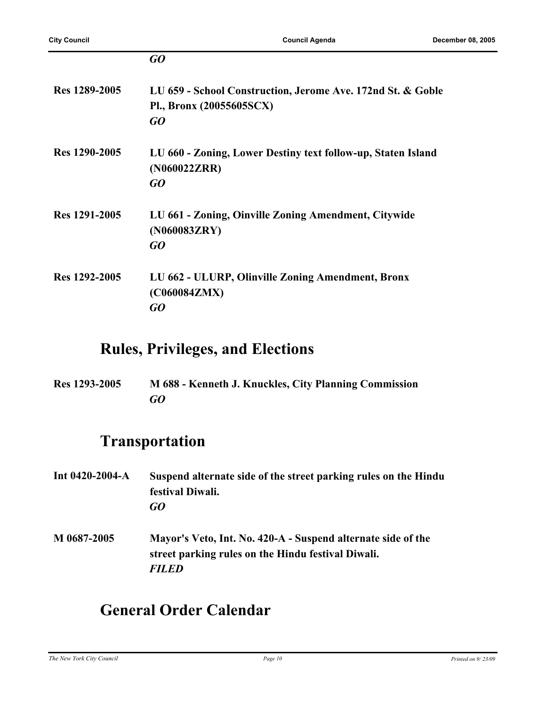|               | GO                                                                                            |
|---------------|-----------------------------------------------------------------------------------------------|
| Res 1289-2005 | LU 659 - School Construction, Jerome Ave. 172nd St. & Goble<br>Pl., Bronx (20055605SCX)<br>GO |
| Res 1290-2005 | LU 660 - Zoning, Lower Destiny text follow-up, Staten Island<br>(N060022ZRR)<br>GQ            |
| Res 1291-2005 | LU 661 - Zoning, Oinville Zoning Amendment, Citywide<br>(N060083ZRY)<br>GO                    |
| Res 1292-2005 | LU 662 - ULURP, Olinville Zoning Amendment, Bronx<br>(C060084ZMX)<br>GO                       |

### **Rules, Privileges, and Elections**

**Res 1293-2005 M 688 - Kenneth J. Knuckles, City Planning Commission** *GO*

## **Transportation**

- **Int 0420-2004-A Suspend alternate side of the street parking rules on the Hindu festival Diwali.** *GO*
- **M 0687-2005 Mayor's Veto, Int. No. 420-A Suspend alternate side of the street parking rules on the Hindu festival Diwali.** *FILED*

## **General Order Calendar**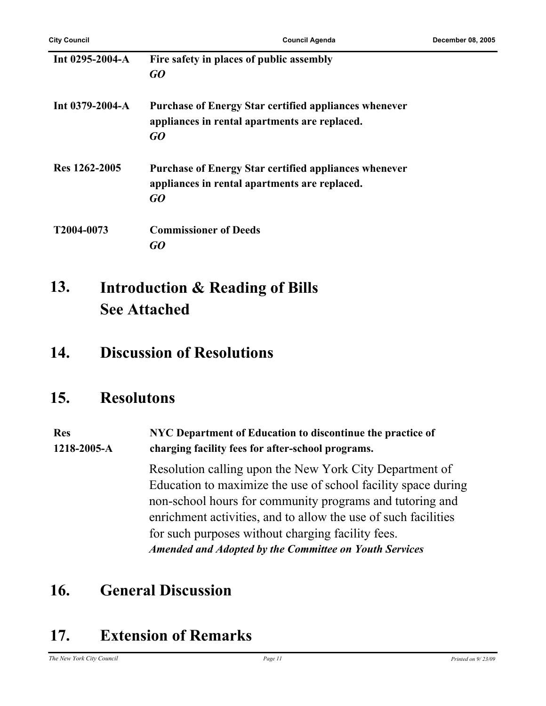| Int $0295 - 2004 - A$ | Fire safety in places of public assembly<br>GO                                                                      |
|-----------------------|---------------------------------------------------------------------------------------------------------------------|
| Int $0379 - 2004 - A$ | <b>Purchase of Energy Star certified appliances whenever</b><br>appliances in rental apartments are replaced.<br>GO |
| Res 1262-2005         | <b>Purchase of Energy Star certified appliances whenever</b><br>appliances in rental apartments are replaced.<br>GO |
| T2004-0073            | <b>Commissioner of Deeds</b><br>GO)                                                                                 |

#### **Introduction & Reading of Bills See Attached 13.**

### **14. Discussion of Resolutions**

### **15. Resolutons**

#### **Res 1218-2005-A NYC Department of Education to discontinue the practice of charging facility fees for after-school programs.**

Resolution calling upon the New York City Department of Education to maximize the use of school facility space during non-school hours for community programs and tutoring and enrichment activities, and to allow the use of such facilities for such purposes without charging facility fees. *Amended and Adopted by the Committee on Youth Services*

## **16. General Discussion**

## **17. Extension of Remarks**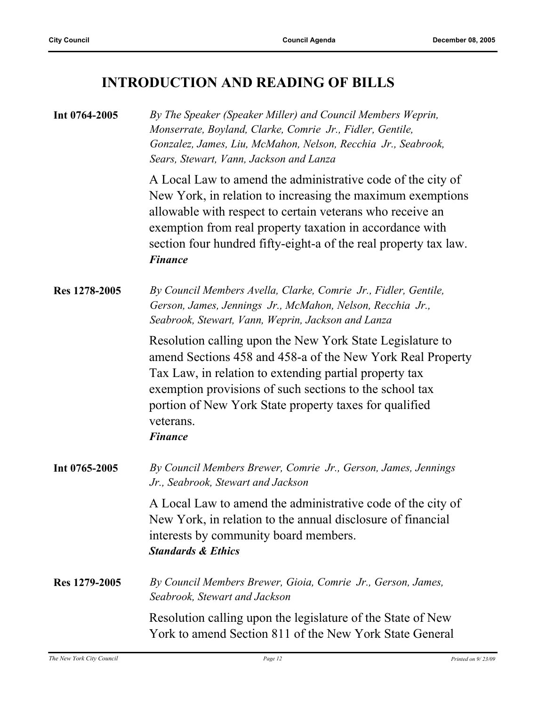## **INTRODUCTION AND READING OF BILLS**

| Int 0764-2005 | By The Speaker (Speaker Miller) and Council Members Weprin,<br>Monserrate, Boyland, Clarke, Comrie Jr., Fidler, Gentile,<br>Gonzalez, James, Liu, McMahon, Nelson, Recchia Jr., Seabrook,<br>Sears, Stewart, Vann, Jackson and Lanza                                                                                                     |
|---------------|------------------------------------------------------------------------------------------------------------------------------------------------------------------------------------------------------------------------------------------------------------------------------------------------------------------------------------------|
|               | A Local Law to amend the administrative code of the city of<br>New York, in relation to increasing the maximum exemptions<br>allowable with respect to certain veterans who receive an<br>exemption from real property taxation in accordance with<br>section four hundred fifty-eight-a of the real property tax law.<br><b>Finance</b> |
| Res 1278-2005 | By Council Members Avella, Clarke, Comrie Jr., Fidler, Gentile,<br>Gerson, James, Jennings Jr., McMahon, Nelson, Recchia Jr.,<br>Seabrook, Stewart, Vann, Weprin, Jackson and Lanza                                                                                                                                                      |
|               | Resolution calling upon the New York State Legislature to<br>amend Sections 458 and 458-a of the New York Real Property<br>Tax Law, in relation to extending partial property tax<br>exemption provisions of such sections to the school tax<br>portion of New York State property taxes for qualified<br>veterans.<br><b>Finance</b>    |
| Int 0765-2005 | By Council Members Brewer, Comrie Jr., Gerson, James, Jennings<br>Jr., Seabrook, Stewart and Jackson                                                                                                                                                                                                                                     |
|               | A Local Law to amend the administrative code of the city of<br>New York, in relation to the annual disclosure of financial<br>interests by community board members.<br><b>Standards &amp; Ethics</b>                                                                                                                                     |
| Res 1279-2005 | By Council Members Brewer, Gioia, Comrie Jr., Gerson, James,<br>Seabrook, Stewart and Jackson                                                                                                                                                                                                                                            |
|               | Resolution calling upon the legislature of the State of New<br>York to amend Section 811 of the New York State General                                                                                                                                                                                                                   |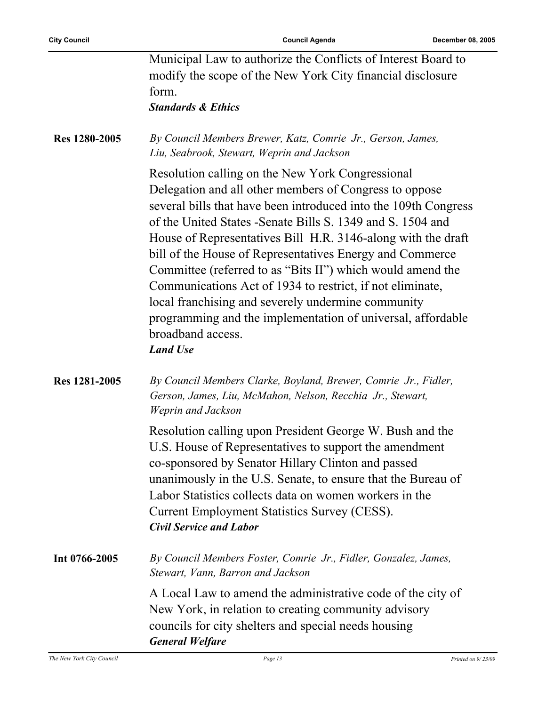|               | Municipal Law to authorize the Conflicts of Interest Board to<br>modify the scope of the New York City financial disclosure<br>form.<br><b>Standards &amp; Ethics</b>                                                                                                                                                                                                                                                                                                                                                                                                                                                                                            |
|---------------|------------------------------------------------------------------------------------------------------------------------------------------------------------------------------------------------------------------------------------------------------------------------------------------------------------------------------------------------------------------------------------------------------------------------------------------------------------------------------------------------------------------------------------------------------------------------------------------------------------------------------------------------------------------|
| Res 1280-2005 | By Council Members Brewer, Katz, Comrie Jr., Gerson, James,<br>Liu, Seabrook, Stewart, Weprin and Jackson                                                                                                                                                                                                                                                                                                                                                                                                                                                                                                                                                        |
|               | Resolution calling on the New York Congressional<br>Delegation and all other members of Congress to oppose<br>several bills that have been introduced into the 109th Congress<br>of the United States - Senate Bills S. 1349 and S. 1504 and<br>House of Representatives Bill H.R. 3146-along with the draft<br>bill of the House of Representatives Energy and Commerce<br>Committee (referred to as "Bits II") which would amend the<br>Communications Act of 1934 to restrict, if not eliminate,<br>local franchising and severely undermine community<br>programming and the implementation of universal, affordable<br>broadband access.<br><b>Land Use</b> |
| Res 1281-2005 | By Council Members Clarke, Boyland, Brewer, Comrie Jr., Fidler,<br>Gerson, James, Liu, McMahon, Nelson, Recchia Jr., Stewart,<br>Weprin and Jackson                                                                                                                                                                                                                                                                                                                                                                                                                                                                                                              |
|               | Resolution calling upon President George W. Bush and the<br>U.S. House of Representatives to support the amendment<br>co-sponsored by Senator Hillary Clinton and passed<br>unanimously in the U.S. Senate, to ensure that the Bureau of<br>Labor Statistics collects data on women workers in the<br><b>Current Employment Statistics Survey (CESS).</b><br><b>Civil Service and Labor</b>                                                                                                                                                                                                                                                                      |
| Int 0766-2005 | By Council Members Foster, Comrie Jr., Fidler, Gonzalez, James,<br>Stewart, Vann, Barron and Jackson                                                                                                                                                                                                                                                                                                                                                                                                                                                                                                                                                             |
|               | A Local Law to amend the administrative code of the city of<br>New York, in relation to creating community advisory<br>councils for city shelters and special needs housing<br><b>General Welfare</b>                                                                                                                                                                                                                                                                                                                                                                                                                                                            |